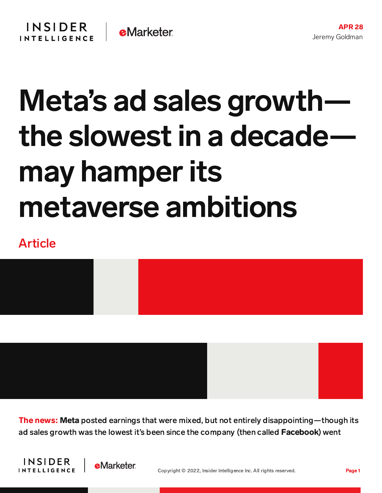## Meta's ad sales growth the slowest in a decade may hamperits metaverse ambitions

## Article



The news: Meta posted earnings that were mixed, but not entirely disappointing—though its ad sales growth was the lowest it's been since the company (then called Facebook) went



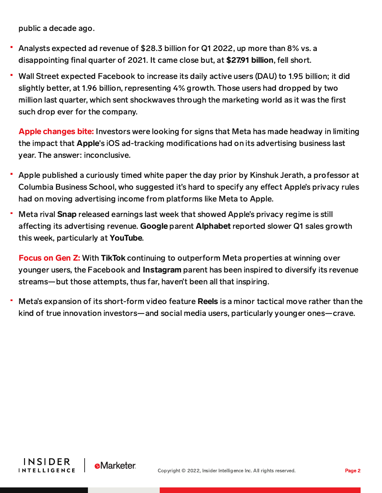public a decade ago.

- Analysts expected ad revenue of \$28.3 billion for Q1 2022, up more than 8% vs. a disappointing final quarter of 2021. It came close but, at \$27.91 billion, fell short.
- Wall Street expected Facebook to increase its daily active users (DAU) to 1.95 billion; it did slightly better, at 1.96 billion, representing 4% growth. Those users had dropped by two million last quarter, which sent shockwaves through the marketing world as it was the first such drop ever for the company.

Apple changes bite: Investors were looking for signs that Meta has made headway in limiting the impact that Apple's iOS ad-tracking modifications had on its advertising business last year. The answer: inconclusive.

- Apple published a curiously timed white paper the day prior by Kinshuk Jerath, a professor at Columbia Business School, who suggested it's hard to specify any effect Apple's privacy rules had on moving advertising income from platforms like Meta to Apple.
- Meta rival Snap released earnings last week that showed Apple's privacy regime is still affecting its advertising revenue. Google parent Alphabet reported slower Q1 sales growth this week, particularly at YouTube.

Focus on Gen Z: With TikTok continuing to outperform Meta properties at winning over younger users, the Facebook and Instagram parent has been inspired to diversify its revenue streams—but those attempts, thus far, haven't been all that inspiring.

Meta's expansion of its short-form video feature **Reels** is a minor tactical move rather than the kind of true innovation investors—and social media users, particularly younger ones—crave.

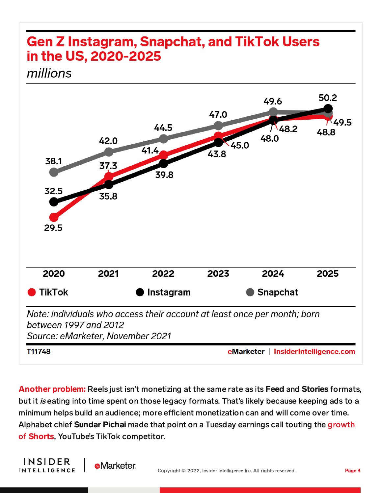## **Gen Z Instagram, Snapchat, and TikTok Users** in the US, 2020-2025 millions



**Another problem:** Reels just isn't monetizing at the same rate as its Feed and Stories formats, but it *is* eating into time spent on those legacy formats. That's likely because keeping ads to a minimum helps build an audience; more efficient monetization can and will come over time. Alphabet chief Sundar Pichai made that point on a Tuesday earnings call touting the growth of **Shorts**, YouTube's TikTok [competitor.](https://content-na1.emarketer.com/youtube-ad-revenue-growth-slowing-its-tiktok-competitor-shorts-booming)